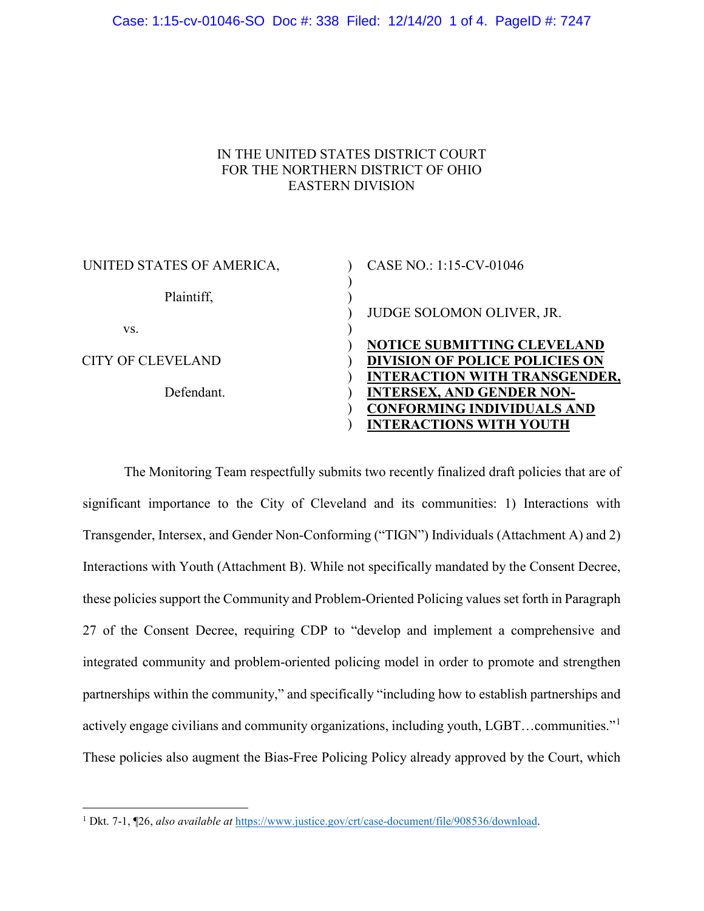## IN THE UNITED STATES DISTRICT COURT FOR THE NORTHERN DISTRICT OF OHIO EASTERN DIVISION

| UNITED STATES OF AMERICA, | CASE NO.: 1:15-CV-01046               |
|---------------------------|---------------------------------------|
| Plaintiff,                |                                       |
|                           | JUDGE SOLOMON OLIVER, JR.             |
| VS.                       |                                       |
|                           | NOTICE SUBMITTING CLEVELAND           |
| <b>CITY OF CLEVELAND</b>  | <b>DIVISION OF POLICE POLICIES ON</b> |
|                           | <b>INTERACTION WITH TRANSGENDER,</b>  |
| Defendant.                | <b>INTERSEX, AND GENDER NON-</b>      |
|                           | <b>CONFORMING INDIVIDUALS AND</b>     |
|                           | <b>INTERACTIONS WITH YOUTH</b>        |

The Monitoring Team respectfully submits two recently finalized draft policies that are of significant importance to the City of Cleveland and its communities: 1) Interactions with Transgender, Intersex, and Gender Non-Conforming ("TIGN") Individuals (Attachment A) and 2) Interactions with Youth (Attachment B). While not specifically mandated by the Consent Decree, these policies support the Community and Problem-Oriented Policing values set forth in Paragraph 27 of the Consent Decree, requiring CDP to "develop and implement a comprehensive and integrated community and problem-oriented policing model in order to promote and strengthen partnerships within the community," and specifically "including how to establish partnerships and actively engage civilians and community organizations, including youth, LGBT…communities."[1](#page-0-0) These policies also augment the Bias-Free Policing Policy already approved by the Court, which

<span id="page-0-0"></span> <sup>1</sup> Dkt. 7-1, ¶26, *also available at* [https://www.justice.gov/crt/case-document/file/908536/download.](https://www.justice.gov/crt/case-document/file/908536/download)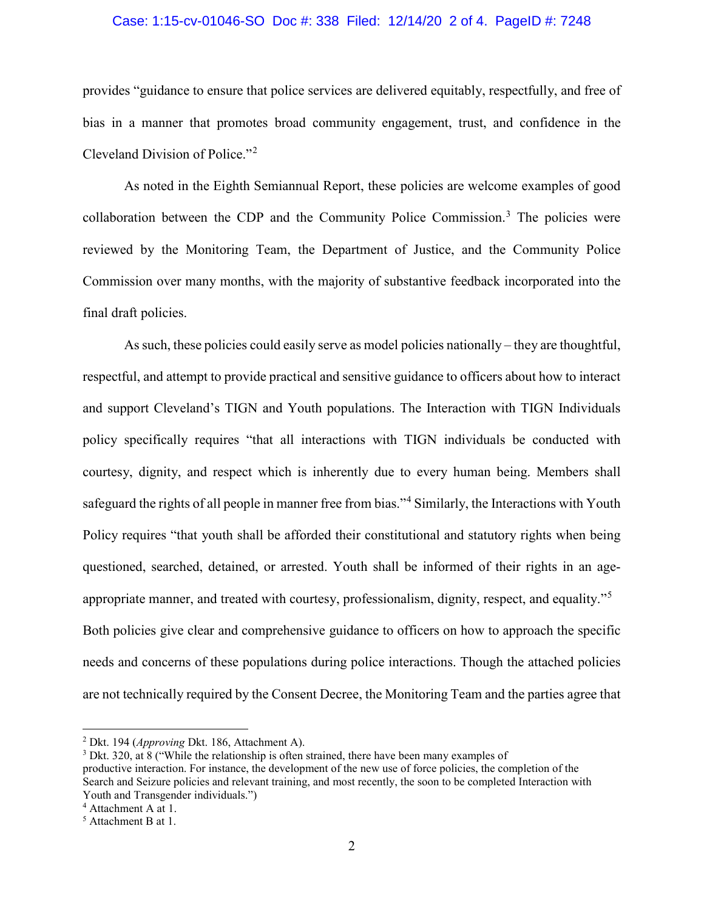## Case: 1:15-cv-01046-SO Doc #: 338 Filed: 12/14/20 2 of 4. PageID #: 7248

provides "guidance to ensure that police services are delivered equitably, respectfully, and free of bias in a manner that promotes broad community engagement, trust, and confidence in the Cleveland Division of Police."[2](#page-1-0)

As noted in the Eighth Semiannual Report, these policies are welcome examples of good collaboration between the CDP and the Community Police Commission.<sup>[3](#page-1-1)</sup> The policies were reviewed by the Monitoring Team, the Department of Justice, and the Community Police Commission over many months, with the majority of substantive feedback incorporated into the final draft policies.

As such, these policies could easily serve as model policies nationally – they are thoughtful, respectful, and attempt to provide practical and sensitive guidance to officers about how to interact and support Cleveland's TIGN and Youth populations. The Interaction with TIGN Individuals policy specifically requires "that all interactions with TIGN individuals be conducted with courtesy, dignity, and respect which is inherently due to every human being. Members shall safeguard the rights of all people in manner free from bias."<sup>[4](#page-1-2)</sup> Similarly, the Interactions with Youth Policy requires "that youth shall be afforded their constitutional and statutory rights when being questioned, searched, detained, or arrested. Youth shall be informed of their rights in an ageappropriate manner, and treated with courtesy, professionalism, dignity, respect, and equality."[5](#page-1-3) Both policies give clear and comprehensive guidance to officers on how to approach the specific needs and concerns of these populations during police interactions. Though the attached policies are not technically required by the Consent Decree, the Monitoring Team and the parties agree that

<span id="page-1-0"></span> <sup>2</sup> Dkt. 194 (*Approving* Dkt. 186, Attachment A).

<span id="page-1-1"></span><sup>&</sup>lt;sup>3</sup> Dkt. 320, at 8 ("While the relationship is often strained, there have been many examples of productive interaction. For instance, the development of the new use of force policies, the completion of the Search and Seizure policies and relevant training, and most recently, the soon to be completed Interaction with Youth and Transgender individuals.")

<span id="page-1-2"></span><sup>4</sup> Attachment A at 1.

<span id="page-1-3"></span><sup>5</sup> Attachment B at 1.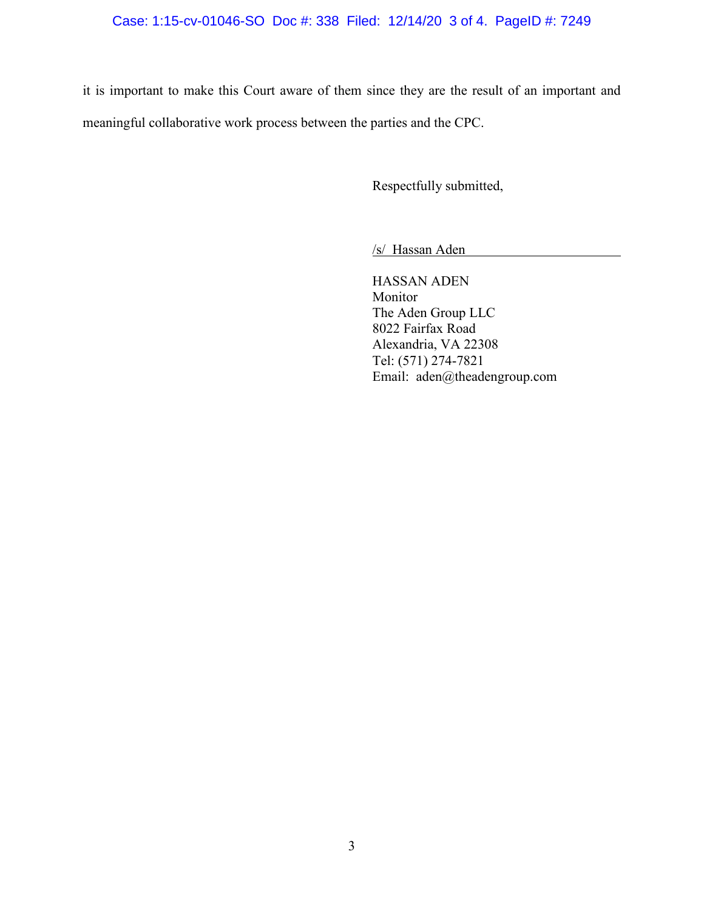## Case: 1:15-cv-01046-SO Doc #: 338 Filed: 12/14/20 3 of 4. PageID #: 7249

it is important to make this Court aware of them since they are the result of an important and meaningful collaborative work process between the parties and the CPC.

Respectfully submitted,

/s/ Hassan Aden

HASSAN ADEN Monitor The Aden Group LLC 8022 Fairfax Road Alexandria, VA 22308 Tel: (571) 274-7821 Email: aden@theadengroup.com